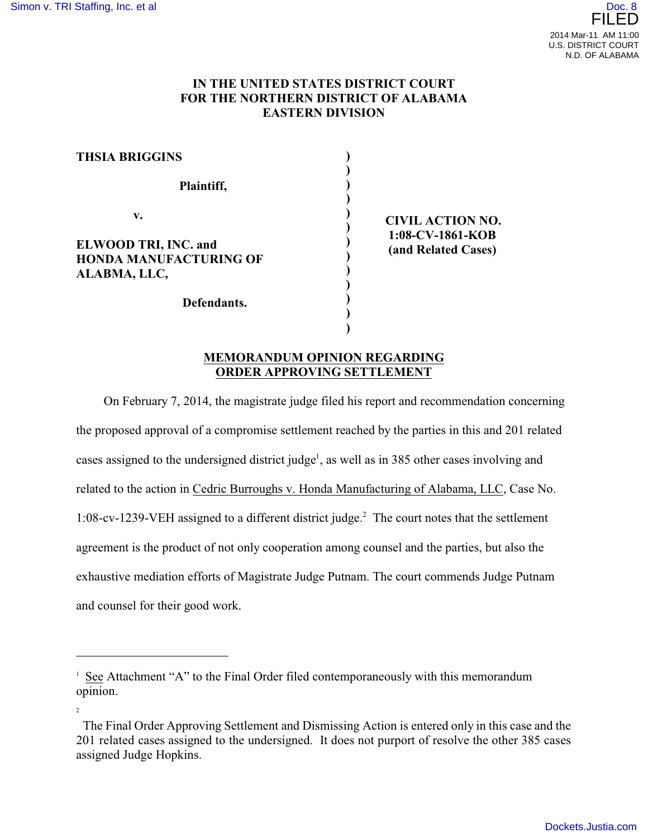## **IN THE UNITED STATES DISTRICT COURT FOR THE NORTHERN DISTRICT OF ALABAMA EASTERN DIVISION**

| <b>THSIA BRIGGINS</b>                                                       |                                                                    |
|-----------------------------------------------------------------------------|--------------------------------------------------------------------|
| Plaintiff,                                                                  |                                                                    |
| v.<br>ELWOOD TRI, INC. and<br><b>HONDA MANUFACTURING OF</b><br>ALABMA, LLC, | <b>CIVIL ACTION NO.</b><br>1:08-CV-1861-KOB<br>(and Related Cases) |
| Defendants.                                                                 |                                                                    |

## **MEMORANDUM OPINION REGARDING ORDER APPROVING SETTLEMENT**

**)**

On February 7, 2014, the magistrate judge filed his report and recommendation concerning the proposed approval of a compromise settlement reached by the parties in this and 201 related cases assigned to the undersigned district judge<sup>1</sup>, as well as in 385 other cases involving and related to the action in Cedric Burroughs v. Honda Manufacturing of Alabama, LLC, Case No. 1:08-cv-1239-VEH assigned to a different district judge.<sup>2</sup> The court notes that the settlement agreement is the product of not only cooperation among counsel and the parties, but also the exhaustive mediation efforts of Magistrate Judge Putnam. The court commends Judge Putnam and counsel for their good work.

<sup>&</sup>lt;sup>1</sup> See Attachment "A" to the Final Order filed contemporaneously with this memorandum opinion.

<sup>2</sup>

The Final Order Approving Settlement and Dismissing Action is entered only in this case and the 201 related cases assigned to the undersigned. It does not purport of resolve the other 385 cases assigned Judge Hopkins.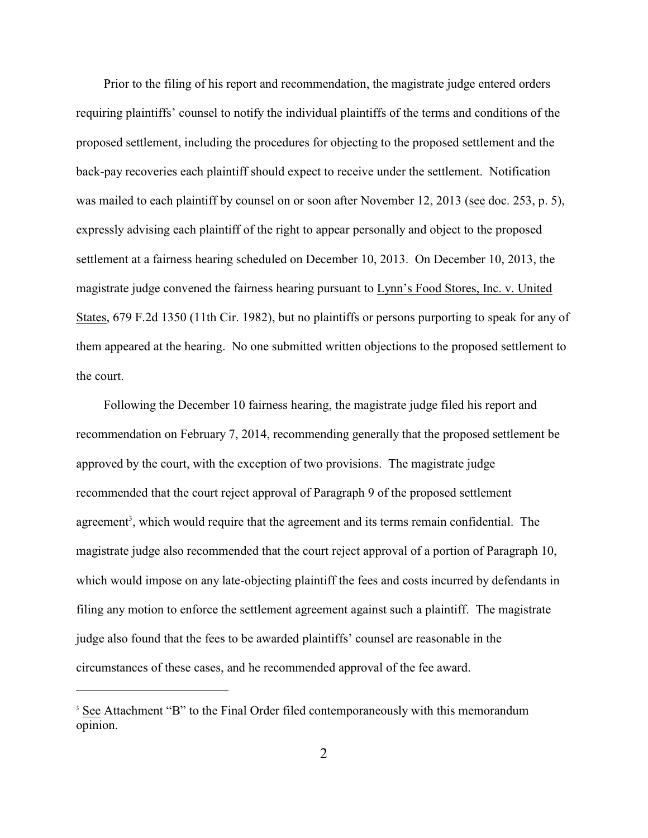Prior to the filing of his report and recommendation, the magistrate judge entered orders requiring plaintiffs' counsel to notify the individual plaintiffs of the terms and conditions of the proposed settlement, including the procedures for objecting to the proposed settlement and the back-pay recoveries each plaintiff should expect to receive under the settlement. Notification was mailed to each plaintiff by counsel on or soon after November 12, 2013 (see doc. 253, p. 5), expressly advising each plaintiff of the right to appear personally and object to the proposed settlement at a fairness hearing scheduled on December 10, 2013. On December 10, 2013, the magistrate judge convened the fairness hearing pursuant to Lynn's Food Stores, Inc. v. United States, 679 F.2d 1350 (11th Cir. 1982), but no plaintiffs or persons purporting to speak for any of them appeared at the hearing. No one submitted written objections to the proposed settlement to the court.

Following the December 10 fairness hearing, the magistrate judge filed his report and recommendation on February 7, 2014, recommending generally that the proposed settlement be approved by the court, with the exception of two provisions. The magistrate judge recommended that the court reject approval of Paragraph 9 of the proposed settlement agreement<sup>3</sup>, which would require that the agreement and its terms remain confidential. The magistrate judge also recommended that the court reject approval of a portion of Paragraph 10, which would impose on any late-objecting plaintiff the fees and costs incurred by defendants in filing any motion to enforce the settlement agreement against such a plaintiff. The magistrate judge also found that the fees to be awarded plaintiffs' counsel are reasonable in the circumstances of these cases, and he recommended approval of the fee award.

<sup>&</sup>lt;sup>3</sup> See Attachment "B" to the Final Order filed contemporaneously with this memorandum opinion.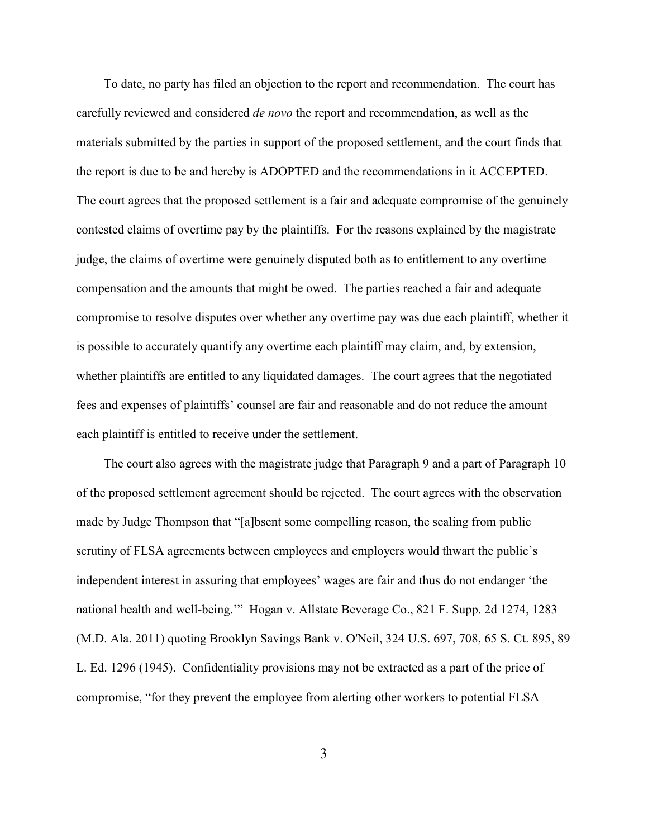To date, no party has filed an objection to the report and recommendation. The court has carefully reviewed and considered *de novo* the report and recommendation, as well as the materials submitted by the parties in support of the proposed settlement, and the court finds that the report is due to be and hereby is ADOPTED and the recommendations in it ACCEPTED. The court agrees that the proposed settlement is a fair and adequate compromise of the genuinely contested claims of overtime pay by the plaintiffs. For the reasons explained by the magistrate judge, the claims of overtime were genuinely disputed both as to entitlement to any overtime compensation and the amounts that might be owed. The parties reached a fair and adequate compromise to resolve disputes over whether any overtime pay was due each plaintiff, whether it is possible to accurately quantify any overtime each plaintiff may claim, and, by extension, whether plaintiffs are entitled to any liquidated damages. The court agrees that the negotiated fees and expenses of plaintiffs' counsel are fair and reasonable and do not reduce the amount each plaintiff is entitled to receive under the settlement.

The court also agrees with the magistrate judge that Paragraph 9 and a part of Paragraph 10 of the proposed settlement agreement should be rejected. The court agrees with the observation made by Judge Thompson that "[a]bsent some compelling reason, the sealing from public scrutiny of FLSA agreements between employees and employers would thwart the public's independent interest in assuring that employees' wages are fair and thus do not endanger 'the national health and well-being.'" Hogan v. Allstate Beverage Co., 821 F. Supp. 2d 1274, 1283 (M.D. Ala. 2011) quoting Brooklyn Savings Bank v. O'Neil, 324 U.S. 697, 708, 65 S. Ct. 895, 89 L. Ed. 1296 (1945). Confidentiality provisions may not be extracted as a part of the price of compromise, "for they prevent the employee from alerting other workers to potential FLSA

3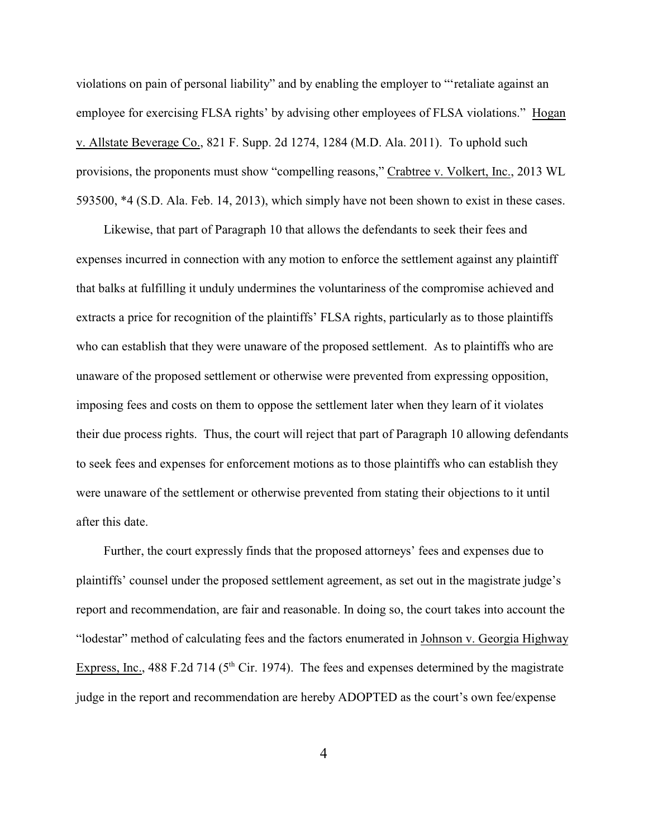violations on pain of personal liability" and by enabling the employer to "'retaliate against an employee for exercising FLSA rights' by advising other employees of FLSA violations." Hogan v. Allstate Beverage Co., 821 F. Supp. 2d 1274, 1284 (M.D. Ala. 2011). To uphold such provisions, the proponents must show "compelling reasons," Crabtree v. Volkert, Inc., 2013 WL 593500, \*4 (S.D. Ala. Feb. 14, 2013), which simply have not been shown to exist in these cases.

Likewise, that part of Paragraph 10 that allows the defendants to seek their fees and expenses incurred in connection with any motion to enforce the settlement against any plaintiff that balks at fulfilling it unduly undermines the voluntariness of the compromise achieved and extracts a price for recognition of the plaintiffs' FLSA rights, particularly as to those plaintiffs who can establish that they were unaware of the proposed settlement. As to plaintiffs who are unaware of the proposed settlement or otherwise were prevented from expressing opposition, imposing fees and costs on them to oppose the settlement later when they learn of it violates their due process rights. Thus, the court will reject that part of Paragraph 10 allowing defendants to seek fees and expenses for enforcement motions as to those plaintiffs who can establish they were unaware of the settlement or otherwise prevented from stating their objections to it until after this date.

Further, the court expressly finds that the proposed attorneys' fees and expenses due to plaintiffs' counsel under the proposed settlement agreement, as set out in the magistrate judge's report and recommendation, are fair and reasonable. In doing so, the court takes into account the "lodestar" method of calculating fees and the factors enumerated in Johnson v. Georgia Highway Express, Inc., 488 F.2d 714 ( $5<sup>th</sup>$  Cir. 1974). The fees and expenses determined by the magistrate judge in the report and recommendation are hereby ADOPTED as the court's own fee/expense